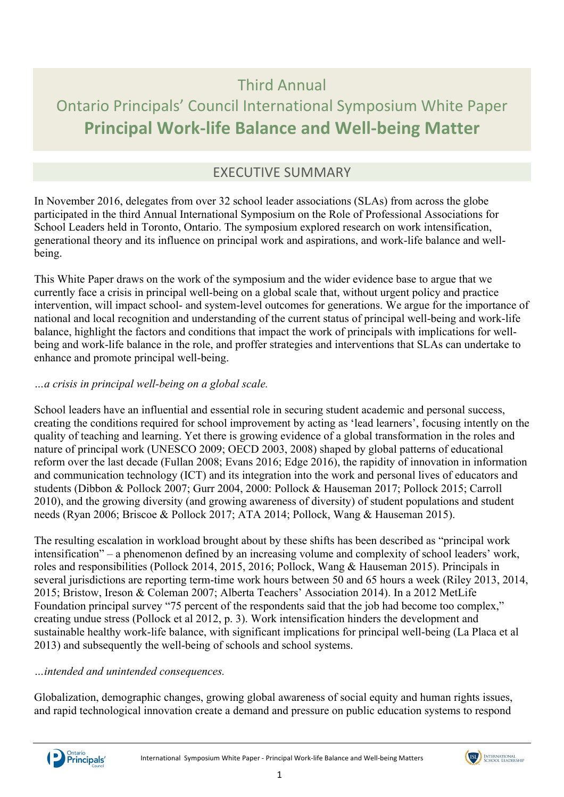# Third Annual Ontario Principals' Council International Symposium White Paper **Principal Work-life Balance and Well-being Matter**

## *EXECUTIVE SUMMARY*

In November 2016, delegates from over 32 school leader associations (SLAs) from across the globe participated in the third Annual International Symposium on the Role of Professional Associations for School Leaders held in Toronto, Ontario. The symposium explored research on work intensification, generational theory and its influence on principal work and aspirations, and work-life balance and wellbeing.

This White Paper draws on the work of the symposium and the wider evidence base to argue that we currently face a crisis in principal well-being on a global scale that, without urgent policy and practice intervention, will impact school- and system-level outcomes for generations. We argue for the importance of national and local recognition and understanding of the current status of principal well-being and work-life balance, highlight the factors and conditions that impact the work of principals with implications for wellbeing and work-life balance in the role, and proffer strategies and interventions that SLAs can undertake to enhance and promote principal well-being.

### *…a crisis in principal well-being on a global scale.*

School leaders have an influential and essential role in securing student academic and personal success, creating the conditions required for school improvement by acting as 'lead learners', focusing intently on the quality of teaching and learning. Yet there is growing evidence of a global transformation in the roles and nature of principal work (UNESCO 2009; OECD 2003, 2008) shaped by global patterns of educational reform over the last decade (Fullan 2008; Evans 2016; Edge 2016), the rapidity of innovation in information and communication technology (ICT) and its integration into the work and personal lives of educators and students (Dibbon & Pollock 2007; Gurr 2004, 2000: Pollock & Hauseman 2017; Pollock 2015; Carroll 2010), and the growing diversity (and growing awareness of diversity) of student populations and student needs (Ryan 2006; Briscoe & Pollock 2017; ATA 2014; Pollock, Wang & Hauseman 2015).

The resulting escalation in workload brought about by these shifts has been described as "principal work intensification" – a phenomenon defined by an increasing volume and complexity of school leaders' work, roles and responsibilities (Pollock 2014, 2015, 2016; Pollock, Wang & Hauseman 2015). Principals in several jurisdictions are reporting term-time work hours between 50 and 65 hours a week (Riley 2013, 2014, 2015; Bristow, Ireson & Coleman 2007; Alberta Teachers' Association 2014). In a 2012 MetLife Foundation principal survey "75 percent of the respondents said that the job had become too complex," creating undue stress (Pollock et al 2012, p. 3). Work intensification hinders the development and sustainable healthy work-life balance, with significant implications for principal well-being (La Placa et al 2013) and subsequently the well-being of schools and school systems.

### *…intended and unintended consequences.*

Globalization, demographic changes, growing global awareness of social equity and human rights issues, and rapid technological innovation create a demand and pressure on public education systems to respond